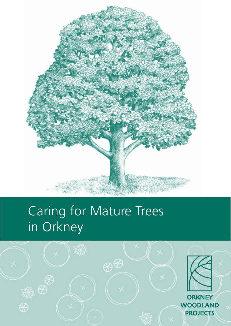

# Caring for Mature Trees in Orkney

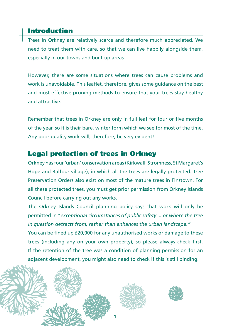## Introduction

Trees in Orkney are relatively scarce and therefore much appreciated. We need to treat them with care, so that we can live happily alongside them, especially in our towns and built-up areas.

However, there are some situations where trees can cause problems and work is unavoidable. This leaflet, therefore, gives some guidance on the best and most effective pruning methods to ensure that your trees stay healthy and attractive.

Remember that trees in Orkney are only in full leaf for four or five months of the year, so it is their bare, winter form which we see for most of the time. Any poor quality work will, therefore, be very evident!

## Legal protection of trees in Orkney

Orkney has four 'urban' conservation areas (Kirkwall, Stromness, St Margaret's Hope and Balfour village), in which all the trees are legally protected. Tree Preservation Orders also exist on most of the mature trees in Finstown. For all these protected trees, you must get prior permission from Orkney Islands Council before carrying out any works.

The Orkney Islands Council planning policy says that work will only be permitted in "*exceptional circumstances of public safety ... or where the tree in question detracts from, rather than enhances the urban landscape."*

You can be fined up £20,000 for any unauthorised works or damage to these trees (including any on your own property), so please always check first. If the retention of the tree was a condition of planning permission for an adjacent development, you might also need to check if this is still binding.

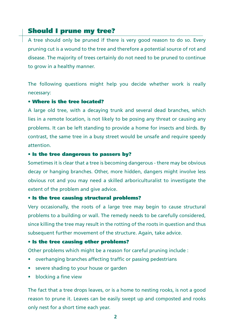## Should I prune my tree?

A tree should only be pruned if there is very good reason to do so. Every pruning cut is a wound to the tree and therefore a potential source of rot and disease. The majority of trees certainly do not need to be pruned to continue to grow in a healthy manner.

The following questions might help you decide whether work is really necessary:

#### • Where is the tree located?

A large old tree, with a decaying trunk and several dead branches, which lies in a remote location, is not likely to be posing any threat or causing any problems. It can be left standing to provide a home for insects and birds. By contrast, the same tree in a busy street would be unsafe and require speedy attention.

#### • Is the tree dangerous to passers by?

Sometimes it is clear that a tree is becoming dangerous - there may be obvious decay or hanging branches. Other, more hidden, dangers might involve less obvious rot and you may need a skilled arboriculturalist to investigate the extent of the problem and give advice.

#### • Is the tree causing structural problems?

Very occasionally, the roots of a large tree may begin to cause structural problems to a building or wall. The remedy needs to be carefully considered, since killing the tree may result in the rotting of the roots in question and thus subsequent further movement of the structure. Again, take advice.

#### • Is the tree causing other problems?

Other problems which might be a reason for careful pruning include :

- overhanging branches affecting traffic or passing pedestrians
- severe shading to your house or garden
- blocking a fine view

The fact that a tree drops leaves, or is a home to nesting rooks, is not a good reason to prune it. Leaves can be easily swept up and composted and rooks only nest for a short time each year.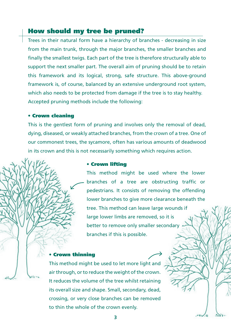## How should my tree be pruned?

Trees in their natural form have a hierarchy of branches - decreasing in size from the main trunk, through the major branches, the smaller branches and finally the smallest twigs. Each part of the tree is therefore structurally able to support the next smaller part. The overall aim of pruning should be to retain this framework and its logical, strong, safe structure. This above-ground framework is, of course, balanced by an extensive underground root system, which also needs to be protected from damage if the tree is to stay healthy. Accepted pruning methods include the following:

#### • Crown cleaning

This is the gentlest form of pruning and involves only the removal of dead, dying, diseased, or weakly attached branches, from the crown of a tree. One of our commonest trees, the sycamore, often has various amounts of deadwood in its crown and this is not necessarily something which requires action.

#### • Crown lifting

This method might be used where the lower branches of a tree are obstructing traffic or pedestrians. It consists of removing the offending lower branches to give more clearance beneath the tree. This method can leave large wounds if large lower limbs are removed, so it is better to remove only smaller secondary branches if this is possible.

#### • Crown thinning

This method might be used to let more light and air through, or to reduce the weight of the crown. It reduces the volume of the tree whilst retaining its overall size and shape. Small, secondary, dead, crossing, or very close branches can be removed to thin the whole of the crown evenly.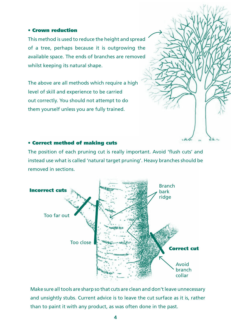#### • Crown reduction

This method is used to reduce the height and spread of a tree, perhaps because it is outgrowing the available space. The ends of branches are removed whilst keeping its natural shape.

The above are all methods which require a high level of skill and experience to be carried out correctly. You should not attempt to do them yourself unless you are fully trained.



#### • Correct method of making cuts

The position of each pruning cut is really important. Avoid 'flush cuts' and instead use what is called 'natural target pruning'. Heavy branches should be removed in sections.



Make sure all tools are sharp so that cuts are clean and don't leave unnecessary and unsightly stubs. Current advice is to leave the cut surface as it is, rather than to paint it with any product, as was often done in the past.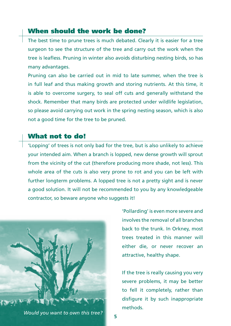### When should the work be done?

The best time to prune trees is much debated. Clearly it is easier for a tree surgeon to see the structure of the tree and carry out the work when the tree is leafless. Pruning in winter also avoids disturbing nesting birds, so has many advantages.

Pruning can also be carried out in mid to late summer, when the tree is in full leaf and thus making growth and storing nutrients. At this time, it is able to overcome surgery, to seal off cuts and generally withstand the shock. Remember that many birds are protected under wildlife legislation, so please avoid carrying out work in the spring nesting season, which is also not a good time for the tree to be pruned.

## What not to do!

'Lopping' of trees is not only bad for the tree, but is also unlikely to achieve your intended aim. When a branch is lopped, new dense growth will sprout from the vicinity of the cut (therefore producing more shade, not less). This whole area of the cuts is also very prone to rot and you can be left with further longterm problems. A lopped tree is not a pretty sight and is never a good solution. It will not be recommended to you by any knowledgeable contractor, so beware anyone who suggests it!



'Pollarding' is even more severe and involves the removal of all branches back to the trunk. In Orkney, most trees treated in this manner will either die, or never recover an attractive, healthy shape.

If the tree is really causing you very severe problems, it may be better to fell it completely, rather than disfigure it by such inappropriate methods.

*Would you want to own this tree?* **<sup>5</sup>**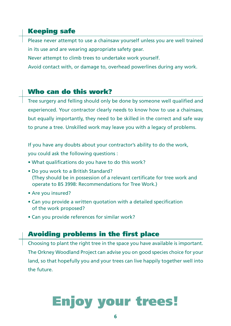## Keeping safe

Please never attempt to use a chainsaw yourself unless you are well trained in its use and are wearing appropriate safety gear.

Never attempt to climb trees to undertake work yourself.

Avoid contact with, or damage to, overhead powerlines during any work.

## Who can do this work?

Tree surgery and felling should only be done by someone well qualified and experienced. Your contractor clearly needs to know how to use a chainsaw, but equally importantly, they need to be skilled in the correct and safe way to prune a tree. Unskilled work may leave you with a legacy of problems.

If you have any doubts about your contractor's ability to do the work, you could ask the following questions :

- What qualifications do you have to do this work?
- Do you work to a British Standard? (They should be in possession of a relevant certificate for tree work and operate to BS 3998: Recommendations for Tree Work.)
- Are you insured?
- Can you provide a written quotation with a detailed specification of the work proposed?
- Can you provide references for similar work?

## Avoiding problems in the first place

Choosing to plant the right tree in the space you have available is important. The Orkney Woodland Project can advise you on good species choice for your land, so that hopefully you and your trees can live happily together well into the future.

## Enjoy your trees!